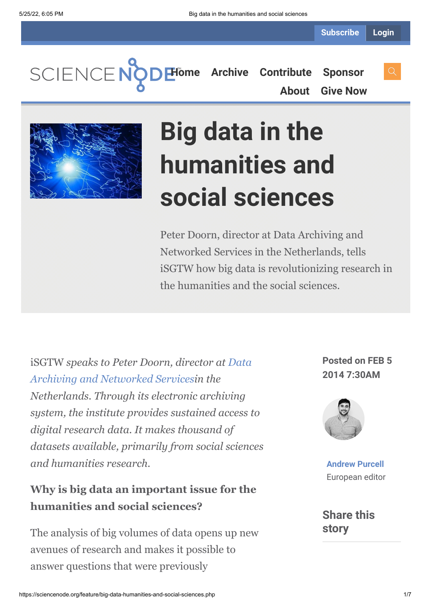SCIENCENC

**[Home](https://sciencenode.org/) [Archive](https://sciencenode.org/archive/index.php) [Contribute](https://sciencenode.org/contribute/index.php) [Sponsor](https://sciencenode.org/sponsor/index.php) [About](https://sciencenode.org/about/index.php) [Give Now](https://sciencenode.org/donate/index.php)**



# **Big data in the humanities and social sciences**

Peter Doorn, director at Data Archiving and Networked Services in the Netherlands, tells iSGTW how big data is revolutionizing research in the humanities and the social sciences.

iSGTW *speaks to Peter Doorn, director at Data [Archiving and Networked Servicesin the](http://www.dans.knaw.nl/en) Netherlands. Through its electronic archiving system, the institute provides sustained access to digital research data. It makes thousand of datasets available, primarily from social sciences and humanities research.*

#### **Why is big data an important issue for the humanities and social sciences?**

The analysis of big volumes of data opens up new avenues of research and makes it possible to answer questions that were previously

**Posted on FEB 5 2014 7:30AM**



**[Andrew Purcell](https://sciencenode.org/author/andrew-purcell.php)** European editor

**Share this story**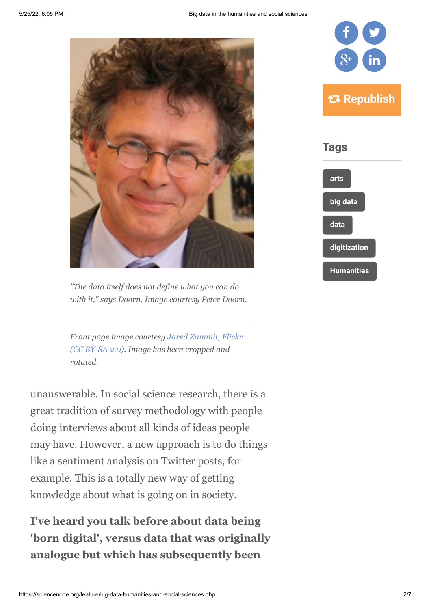

*"The data itself does not define what you can do with it," says Doorn. Image courtesy Peter Doorn.*

*Front page image courtesy [Jared Zammit](http://www.flickr.com/photos/_rq/), [Flickr](http://www.flickr.com/photos/_rq/2959253587/) ([CC BY-SA 2.0](http://creativecommons.org/licenses/by-sa/2.0/deed.de)). Image has been cropped and rotated.*

unanswerable. In social science research, there is a great tradition of survey methodology with people doing interviews about all kinds of ideas people may have. However, a new approach is to do things like a sentiment analysis on Twitter posts, for example. This is a totally new way of getting knowledge about what is going on in society.

**I've heard you talk before about data being 'born digital', versus data that was originally analogue but which has subsequently been**

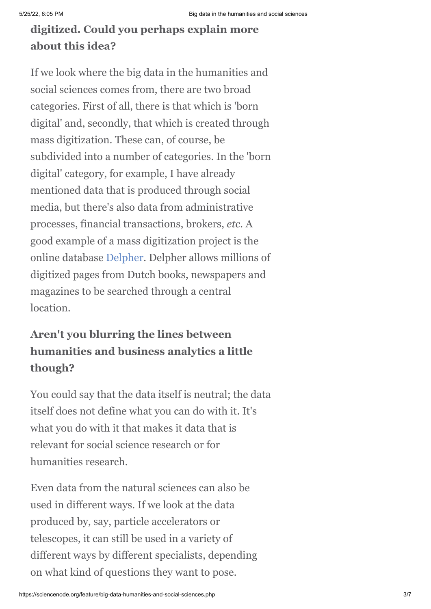## **digitized. Could you perhaps explain more about this idea?**

If we look where the big data in the humanities and social sciences comes from, there are two broad categories. First of all, there is that which is 'born digital' and, secondly, that which is created through mass digitization. These can, of course, be subdivided into a number of categories. In the 'born digital' category, for example, I have already mentioned data that is produced through social media, but there's also data from administrative processes, financial transactions, brokers, *etc.* A good example of a mass digitization project is the online database [Delpher](http://www.delpher.nl/). Delpher allows millions of digitized pages from Dutch books, newspapers and magazines to be searched through a central location.

## **Aren't you blurring the lines between humanities and business analytics a little though?**

You could say that the data itself is neutral; the data itself does not define what you can do with it. It's what you do with it that makes it data that is relevant for social science research or for humanities research.

Even data from the natural sciences can also be used in different ways. If we look at the data produced by, say, particle accelerators or telescopes, it can still be used in a variety of different ways by different specialists, depending on what kind of questions they want to pose.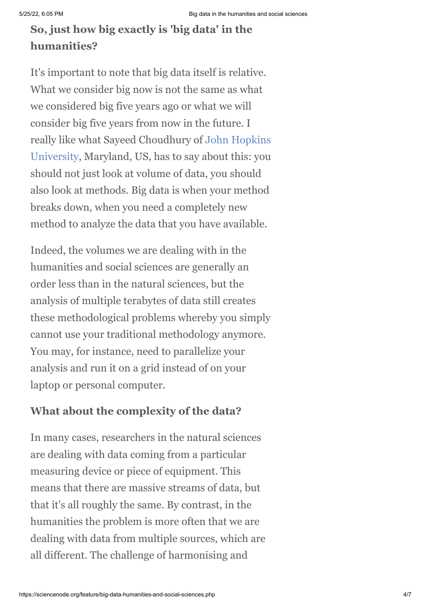## **So, just how big exactly is 'big data' in the humanities?**

It's important to note that big data itself is relative. What we consider big now is not the same as what we considered big five years ago or what we will consider big five years from now in the future. I [really like what Sayeed Choudhury of John Hopkins](http://www.jhu.edu/) University, Maryland, US, has to say about this: you should not just look at volume of data, you should also look at methods. Big data is when your method breaks down, when you need a completely new method to analyze the data that you have available.

Indeed, the volumes we are dealing with in the humanities and social sciences are generally an order less than in the natural sciences, but the analysis of multiple terabytes of data still creates these methodological problems whereby you simply cannot use your traditional methodology anymore. You may, for instance, need to parallelize your analysis and run it on a grid instead of on your laptop or personal computer.

#### **What about the complexity of the data?**

In many cases, researchers in the natural sciences are dealing with data coming from a particular measuring device or piece of equipment. This means that there are massive streams of data, but that it's all roughly the same. By contrast, in the humanities the problem is more often that we are dealing with data from multiple sources, which are all different. The challenge of harmonising and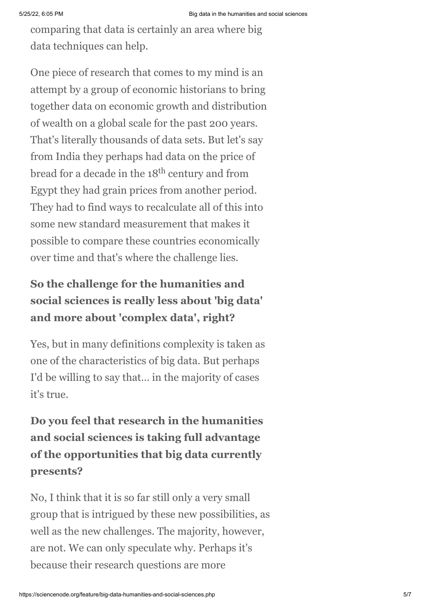comparing that data is certainly an area where big data techniques can help.

One piece of research that comes to my mind is an attempt by a group of economic historians to bring together data on economic growth and distribution of wealth on a global scale for the past 200 years. That's literally thousands of data sets. But let's say from India they perhaps had data on the price of bread for a decade in the 18<sup>th</sup> century and from Egypt they had grain prices from another period. They had to find ways to recalculate all of this into some new standard measurement that makes it possible to compare these countries economically over time and that's where the challenge lies.

## **So the challenge for the humanities and social sciences is really less about 'big data' and more about 'complex data', right?**

Yes, but in many definitions complexity is taken as one of the characteristics of big data. But perhaps I'd be willing to say that… in the majority of cases it's true.

**Do you feel that research in the humanities and social sciences is taking full advantage of the opportunities that big data currently presents?**

No, I think that it is so far still only a very small group that is intrigued by these new possibilities, as well as the new challenges. The majority, however, are not. We can only speculate why. Perhaps it's because their research questions are more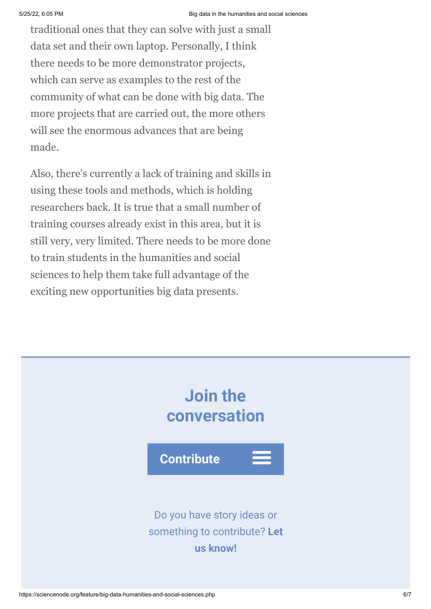traditional ones that they can solve with just a small data set and their own laptop. Personally, I think there needs to be more demonstrator projects, which can serve as examples to the rest of the community of what can be done with big data. The more projects that are carried out, the more others will see the enormous advances that are being made.

Also, there's currently a lack of training and skills in using these tools and methods, which is holding researchers back. It is true that a small number of training courses already exist in this area, but it is still very, very limited. There needs to be more done to train students in the humanities and social sciences to help them take full advantage of the exciting new opportunities big data presents.